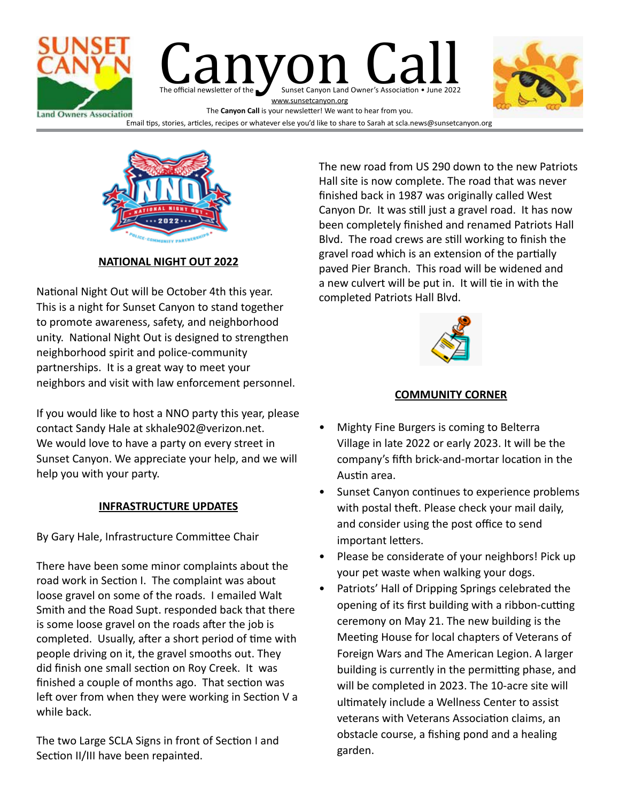



**NATIONAL NIGHT OUT 2022**

National Night Out will be October 4th this year. This is a night for Sunset Canyon to stand together to promote awareness, safety, and neighborhood unity. National Night Out is designed to strengthen neighborhood spirit and police-community partnerships. It is a great way to meet your neighbors and visit with law enforcement personnel.

If you would like to host a NNO party this year, please contact Sandy Hale at skhale902@verizon.net. We would love to have a party on every street in Sunset Canyon. We appreciate your help, and we will help you with your party.

#### **INFRASTRUCTURE UPDATES**

By Gary Hale, Infrastructure Committee Chair

There have been some minor complaints about the road work in Section I. The complaint was about loose gravel on some of the roads. I emailed Walt Smith and the Road Supt. responded back that there is some loose gravel on the roads after the job is completed. Usually, after a short period of time with people driving on it, the gravel smooths out. They did finish one small section on Roy Creek. It was finished a couple of months ago. That section was left over from when they were working in Section V a while back.

The two Large SCLA Signs in front of Section I and Section II/III have been repainted.

The new road from US 290 down to the new Patriots Hall site is now complete. The road that was never finished back in 1987 was originally called West Canyon Dr. It was still just a gravel road. It has now been completely finished and renamed Patriots Hall Blvd. The road crews are still working to finish the gravel road which is an extension of the partially paved Pier Branch. This road will be widened and a new culvert will be put in. It will tie in with the completed Patriots Hall Blvd.



#### **COMMUNITY CORNER**

- Mighty Fine Burgers is coming to Belterra Village in late 2022 or early 2023. It will be the company's fifth brick-and-mortar location in the Austin area.
- Sunset Canyon continues to experience problems with postal theft. Please check your mail daily, and consider using the post office to send important letters.
- Please be considerate of your neighbors! Pick up your pet waste when walking your dogs.
- Patriots' Hall of Dripping Springs celebrated the opening of its first building with a ribbon-cutting ceremony on May 21. The new building is the Meeting House for local chapters of Veterans of Foreign Wars and The American Legion. A larger building is currently in the permitting phase, and will be completed in 2023. The 10-acre site will ultimately include a Wellness Center to assist veterans with Veterans Association claims, an obstacle course, a fishing pond and a healing garden.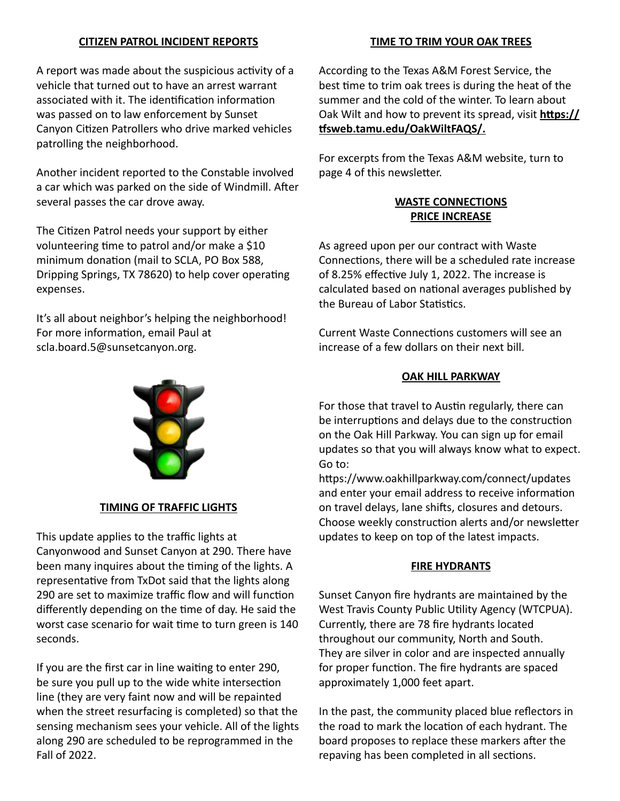#### **CITIZEN PATROL INCIDENT REPORTS**

A report was made about the suspicious activity of a vehicle that turned out to have an arrest warrant associated with it. The identification information was passed on to law enforcement by Sunset Canyon Citizen Patrollers who drive marked vehicles patrolling the neighborhood.

Another incident reported to the Constable involved a car which was parked on the side of Windmill. After several passes the car drove away.

The Citizen Patrol needs your support by either volunteering time to patrol and/or make a \$10 minimum donation (mail to SCLA, PO Box 588, Dripping Springs, TX 78620) to help cover operating expenses.

It's all about neighbor's helping the neighborhood! For more information, email Paul at scla.board.5@sunsetcanyon.org.



#### **TIMING OF TRAFFIC LIGHTS**

This update applies to the traffic lights at Canyonwood and Sunset Canyon at 290. There have been many inquires about the timing of the lights. A representative from TxDot said that the lights along 290 are set to maximize traffic flow and will function differently depending on the time of day. He said the worst case scenario for wait time to turn green is 140 seconds.

If you are the first car in line waiting to enter 290, be sure you pull up to the wide white intersection line (they are very faint now and will be repainted when the street resurfacing is completed) so that the sensing mechanism sees your vehicle. All of the lights along 290 are scheduled to be reprogrammed in the Fall of 2022.

#### **TIME TO TRIM YOUR OAK TREES**

According to the Texas A&M Forest Service, the best time to trim oak trees is during the heat of the summer and the cold of the winter. To learn about Oak Wilt and how to prevent its spread, visit **https:// tfsweb.tamu.edu/OakWiltFAQS/.**

For excerpts from the Texas A&M website, turn to page 4 of this newsletter.

#### **WASTE CONNECTIONS PRICE INCREASE**

As agreed upon per our contract with Waste Connections, there will be a scheduled rate increase of 8.25% effective July 1, 2022. The increase is calculated based on national averages published by the Bureau of Labor Statistics.

Current Waste Connections customers will see an increase of a few dollars on their next bill.

#### **OAK HILL PARKWAY**

For those that travel to Austin regularly, there can be interruptions and delays due to the construction on the Oak Hill Parkway. You can sign up for email updates so that you will always know what to expect. Go to:

https://www.oakhillparkway.com/connect/updates and enter your email address to receive information on travel delays, lane shifts, closures and detours. Choose weekly construction alerts and/or newsletter updates to keep on top of the latest impacts.

#### **FIRE HYDRANTS**

Sunset Canyon fire hydrants are maintained by the West Travis County Public Utility Agency (WTCPUA). Currently, there are 78 fire hydrants located throughout our community, North and South. They are silver in color and are inspected annually for proper function. The fire hydrants are spaced approximately 1,000 feet apart.

In the past, the community placed blue reflectors in the road to mark the location of each hydrant. The board proposes to replace these markers after the repaving has been completed in all sections.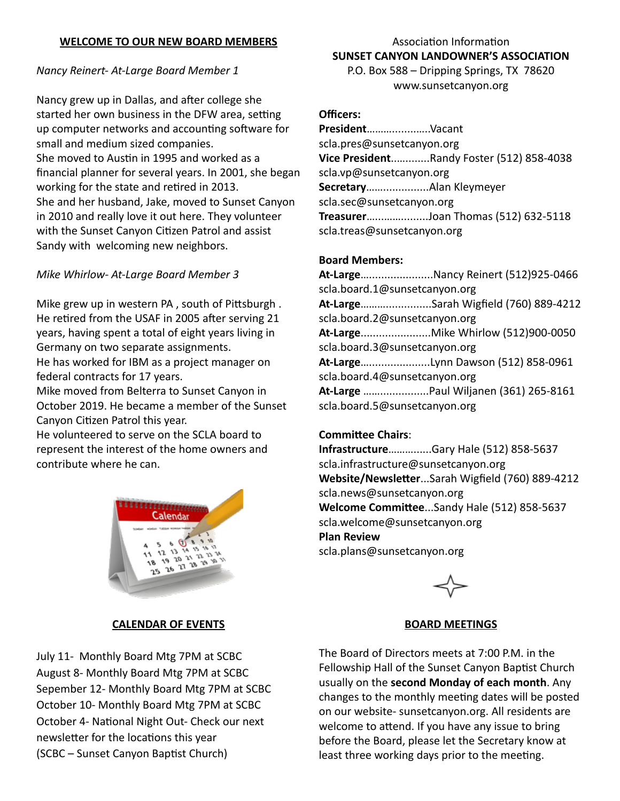#### **WELCOME TO OUR NEW BOARD MEMBERS**

## *Nancy Reinert- At-Large Board Member 1*

Nancy grew up in Dallas, and after college she started her own business in the DFW area, setting up computer networks and accounting software for small and medium sized companies. She moved to Austin in 1995 and worked as a financial planner for several years. In 2001, she began working for the state and retired in 2013. She and her husband, Jake, moved to Sunset Canyon in 2010 and really love it out here. They volunteer with the Sunset Canyon Citizen Patrol and assist Sandy with welcoming new neighbors.

## *Mike Whirlow- At-Large Board Member 3*

Mike grew up in western PA , south of Pittsburgh . He retired from the USAF in 2005 after serving 21 years, having spent a total of eight years living in Germany on two separate assignments. He has worked for IBM as a project manager on federal contracts for 17 years.

Mike moved from Belterra to Sunset Canyon in October 2019. He became a member of the Sunset Canyon Citizen Patrol this year.

He volunteered to serve on the SCLA board to represent the interest of the home owners and contribute where he can.



## **CALENDAR OF EVENTS**

July 11- Monthly Board Mtg 7PM at SCBC August 8- Monthly Board Mtg 7PM at SCBC Sepember 12- Monthly Board Mtg 7PM at SCBC October 10- Monthly Board Mtg 7PM at SCBC October 4- National Night Out- Check our next newsletter for the locations this year (SCBC – Sunset Canyon Baptist Church)

# Association Information **SUNSET CANYON LANDOWNER'S ASSOCIATION**

P.O. Box 588 – Dripping Springs, TX 78620 www.sunsetcanyon.org

#### **Officers:**

**President**………........…..Vacant scla.pres@sunsetcanyon.org **Vice President**..…........Randy Foster (512) 858-4038 scla.vp@sunsetcanyon.org **Secretary**……...............Alan Kleymeyer scla.sec@sunsetcanyon.org **Treasurer**…...…….........Joan Thomas (512) 632-5118 scla.treas@sunsetcanyon.org

#### **Board Members:**

**At-Large**….....................Nancy Reinert (512)925-0466 scla.board.1@sunsetcanyon.org **At-Large**………...............Sarah Wigfield (760) 889-4212 scla.board.2@sunsetcanyon.org **At-Large**.......................Mike Whirlow (512)900-0050 scla.board.3@sunsetcanyon.org **At-Large**…....................Lynn Dawson (512) 858-0961 scla.board.4@sunsetcanyon.org **At-Large** ……................Paul Wiljanen (361) 265-8161 scla.board.5@sunsetcanyon.org

#### **Committee Chairs**:

**Infrastructure**………......Gary Hale (512) 858-5637 scla.infrastructure@sunsetcanyon.org **Website/Newsletter**...Sarah Wigfield (760) 889-4212 scla.news@sunsetcanyon.org **Welcome Committee**...Sandy Hale (512) 858-5637 scla.welcome@sunsetcanyon.org **Plan Review**  scla.plans@sunsetcanyon.org

#### **BOARD MEETINGS**

The Board of Directors meets at 7:00 P.M. in the Fellowship Hall of the Sunset Canyon Baptist Church usually on the **second Monday of each month**. Any changes to the monthly meeting dates will be posted on our website- sunsetcanyon.org. All residents are welcome to attend. If you have any issue to bring before the Board, please let the Secretary know at least three working days prior to the meeting.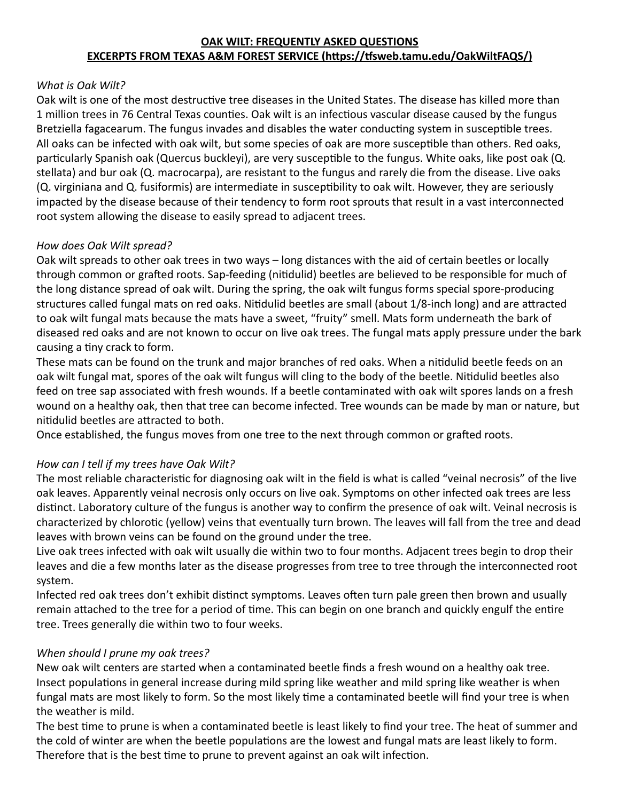#### **OAK WILT: FREQUENTLY ASKED QUESTIONS EXCERPTS FROM TEXAS A&M FOREST SERVICE (https://tfsweb.tamu.edu/OakWiltFAQS/)**

#### *What is Oak Wilt?*

Oak wilt is one of the most destructive tree diseases in the United States. The disease has killed more than 1 million trees in 76 Central Texas counties. Oak wilt is an infectious vascular disease caused by the fungus Bretziella fagacearum. The fungus invades and disables the water conducting system in susceptible trees. All oaks can be infected with oak wilt, but some species of oak are more susceptible than others. Red oaks, particularly Spanish oak (Quercus buckleyi), are very susceptible to the fungus. White oaks, like post oak (Q. stellata) and bur oak (Q. macrocarpa), are resistant to the fungus and rarely die from the disease. Live oaks (Q. virginiana and Q. fusiformis) are intermediate in susceptibility to oak wilt. However, they are seriously impacted by the disease because of their tendency to form root sprouts that result in a vast interconnected root system allowing the disease to easily spread to adjacent trees.

#### *How does Oak Wilt spread?*

Oak wilt spreads to other oak trees in two ways – long distances with the aid of certain beetles or locally through common or grafted roots. Sap-feeding (nitidulid) beetles are believed to be responsible for much of the long distance spread of oak wilt. During the spring, the oak wilt fungus forms special spore-producing structures called fungal mats on red oaks. Nitidulid beetles are small (about 1/8-inch long) and are attracted to oak wilt fungal mats because the mats have a sweet, "fruity" smell. Mats form underneath the bark of diseased red oaks and are not known to occur on live oak trees. The fungal mats apply pressure under the bark causing a tiny crack to form.

These mats can be found on the trunk and major branches of red oaks. When a nitidulid beetle feeds on an oak wilt fungal mat, spores of the oak wilt fungus will cling to the body of the beetle. Nitidulid beetles also feed on tree sap associated with fresh wounds. If a beetle contaminated with oak wilt spores lands on a fresh wound on a healthy oak, then that tree can become infected. Tree wounds can be made by man or nature, but nitidulid beetles are attracted to both.

Once established, the fungus moves from one tree to the next through common or grafted roots.

#### *How can I tell if my trees have Oak Wilt?*

The most reliable characteristic for diagnosing oak wilt in the field is what is called "veinal necrosis" of the live oak leaves. Apparently veinal necrosis only occurs on live oak. Symptoms on other infected oak trees are less distinct. Laboratory culture of the fungus is another way to confirm the presence of oak wilt. Veinal necrosis is characterized by chlorotic (yellow) veins that eventually turn brown. The leaves will fall from the tree and dead leaves with brown veins can be found on the ground under the tree.

Live oak trees infected with oak wilt usually die within two to four months. Adjacent trees begin to drop their leaves and die a few months later as the disease progresses from tree to tree through the interconnected root system.

Infected red oak trees don't exhibit distinct symptoms. Leaves often turn pale green then brown and usually remain attached to the tree for a period of time. This can begin on one branch and quickly engulf the entire tree. Trees generally die within two to four weeks.

#### *When should I prune my oak trees?*

New oak wilt centers are started when a contaminated beetle finds a fresh wound on a healthy oak tree. Insect populations in general increase during mild spring like weather and mild spring like weather is when fungal mats are most likely to form. So the most likely time a contaminated beetle will find your tree is when the weather is mild.

The best time to prune is when a contaminated beetle is least likely to find your tree. The heat of summer and the cold of winter are when the beetle populations are the lowest and fungal mats are least likely to form. Therefore that is the best time to prune to prevent against an oak wilt infection.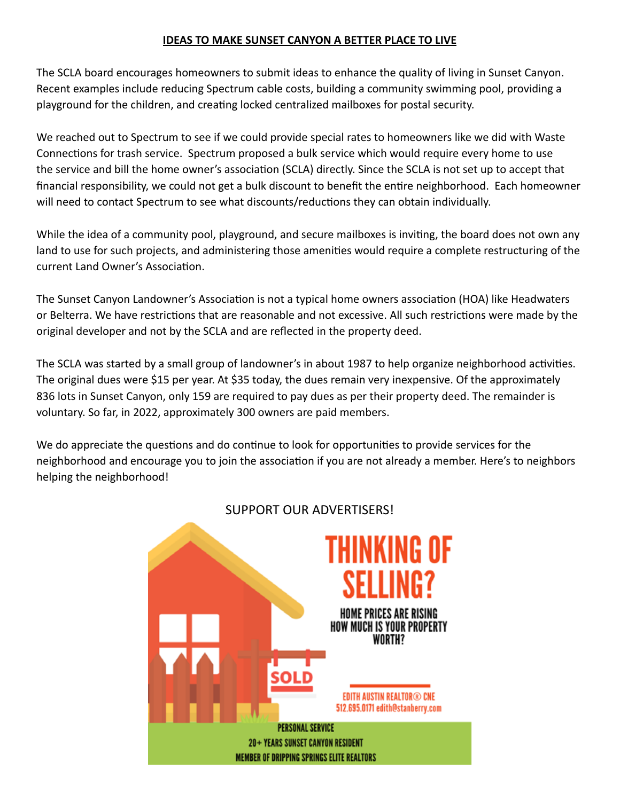#### **IDEAS TO MAKE SUNSET CANYON A BETTER PLACE TO LIVE**

The SCLA board encourages homeowners to submit ideas to enhance the quality of living in Sunset Canyon. Recent examples include reducing Spectrum cable costs, building a community swimming pool, providing a playground for the children, and creating locked centralized mailboxes for postal security.

We reached out to Spectrum to see if we could provide special rates to homeowners like we did with Waste Connections for trash service. Spectrum proposed a bulk service which would require every home to use the service and bill the home owner's association (SCLA) directly. Since the SCLA is not set up to accept that financial responsibility, we could not get a bulk discount to benefit the entire neighborhood. Each homeowner will need to contact Spectrum to see what discounts/reductions they can obtain individually.

While the idea of a community pool, playground, and secure mailboxes is inviting, the board does not own any land to use for such projects, and administering those amenities would require a complete restructuring of the current Land Owner's Association.

The Sunset Canyon Landowner's Association is not a typical home owners association (HOA) like Headwaters or Belterra. We have restrictions that are reasonable and not excessive. All such restrictions were made by the original developer and not by the SCLA and are reflected in the property deed.

The SCLA was started by a small group of landowner's in about 1987 to help organize neighborhood activities. The original dues were \$15 per year. At \$35 today, the dues remain very inexpensive. Of the approximately 836 lots in Sunset Canyon, only 159 are required to pay dues as per their property deed. The remainder is voluntary. So far, in 2022, approximately 300 owners are paid members.

We do appreciate the questions and do continue to look for opportunities to provide services for the neighborhood and encourage you to join the association if you are not already a member. Here's to neighbors helping the neighborhood!



# SUPPORT OUR ADVERTISERS!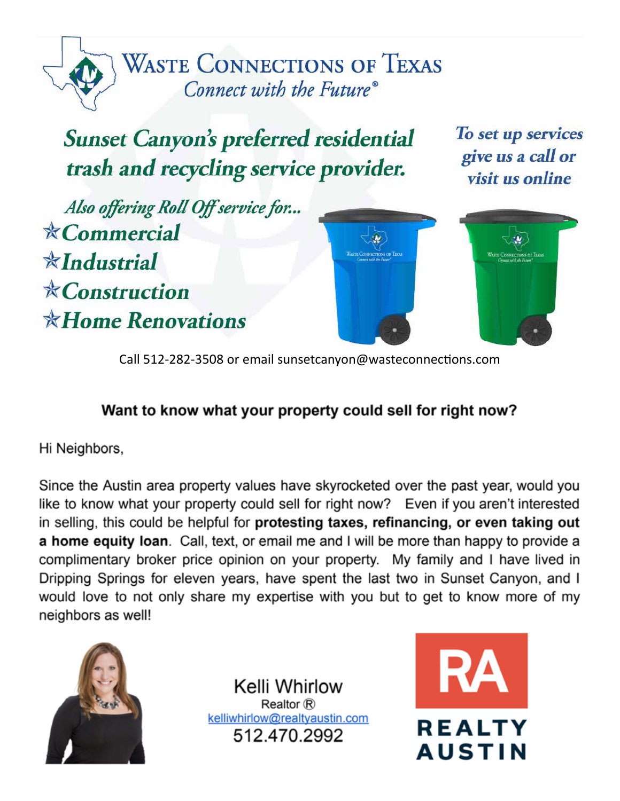

# **Sunset Canyon's preferred residential** trash and recycling service provider.

To set up services give us a call or visit us online

Also offering Roll Off service for...  $\angle$  Commercial  $\frac{1}{N}$ Industrial  $***Construction**$  $*$ Home Renovations





Call 512-282-3508 or email sunsetcanyon@wasteconnections.com

# Want to know what your property could sell for right now?

Hi Neighbors,

Since the Austin area property values have skyrocketed over the past year, would you like to know what your property could sell for right now? Even if you aren't interested in selling, this could be helpful for protesting taxes, refinancing, or even taking out a home equity loan. Call, text, or email me and I will be more than happy to provide a complimentary broker price opinion on your property. My family and I have lived in Dripping Springs for eleven years, have spent the last two in Sunset Canyon, and I would love to not only share my expertise with you but to get to know more of my neighbors as well!



Kelli Whirlow Realtor ® kelliwhirlow@realtyaustin.com 512.470.2992

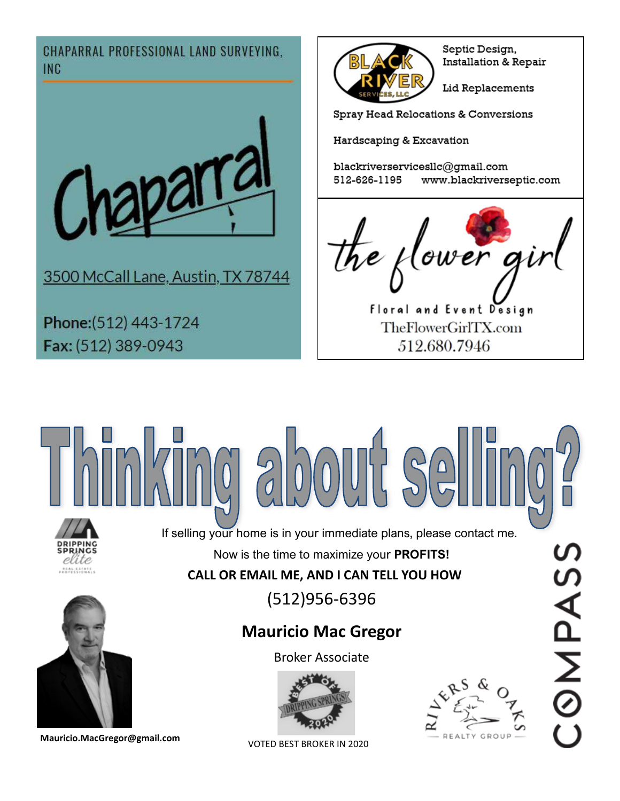**CHAPARRAL PROFESSIONAL LAND SURVEYING. INC** 



3500 McCall Lane, Austin, TX 78744

Phone: (512) 443-1724 Fax: (512) 389-0943



Septic Design, Installation & Repair

Lid Replacements

Spray Head Relocations & Conversions

Hardscaping & Excavation

blackriverservicesllc@gmail.com 512-626-1195 www.blackriverseptic.com



Floral and Event Design TheFlowerGirlTX.com 512,680,7946